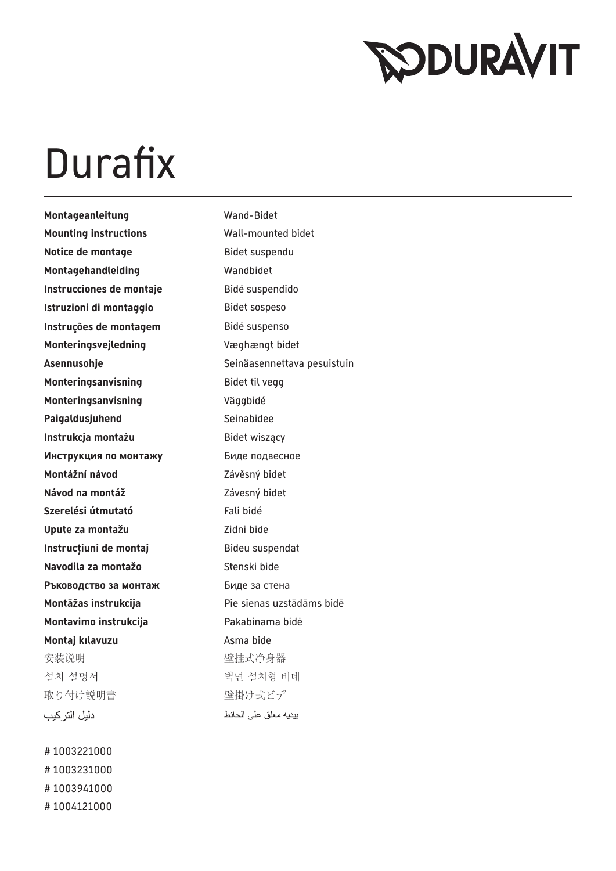## **RODURAVIT**

## Durafix

Montageanleitung **Wand-Bidet Mounting instructions** Wall-mounted bidet **Notice de montage and Bidet suspendu** Montagehandleiding **Wandbidet Instrucciones de montaje** Bidé suspendido **Istruzioni di montaggio** Bidet sospeso **Instruções de montagem** Bidé suspenso **Monteringsvejledning** Væghængt bidet Asennusohje **Seinäasennettava pesuistuin Monteringsanvisning** Bidet til vegg **Monteringsanvisning** Väggbidé Paigaldusjuhend Seinabidee **Instrukcja montażu Bidet wiszący Инструкция по монтажу** Биде подвесное **Montážní návod** Závěsný bidet **Návod na montáž** Závesný bidet **Szerelési útmutató Fali bidé Upute za montažu** Zidni bide **Instrucțiuni de montaj** Bideu suspendat **Navodila za montažo** Stenski bide **Ръководство за монтаж Биде за стена Montāžas instrukcija** Pie sienas uzstādāms bidē **Montavimo instrukcija** Pakabinama bidė **Montaj kılavuzu Asma bide** 安装说明 有效的 医性式净身器 설치 설명서 ٢٠٠٠ - 여러 여러 벽면 설치형 비데 取り付け説明書 要はいちゃく 壁掛け式ビデ دليل التر كيب

# 1003221000 # 1003231000 # 1003941000 # 1004121000 بيديه معلق على الحائط